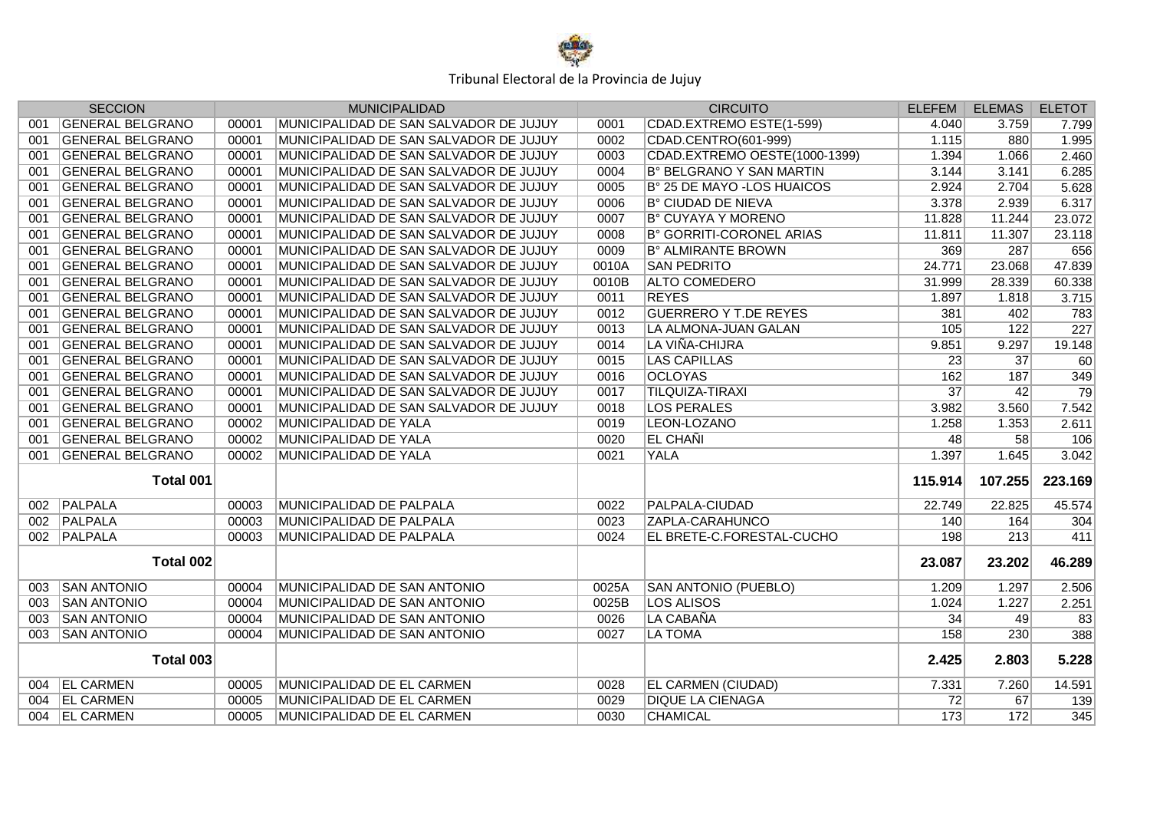

|     | <b>SECCION</b>          |       | <b>MUNICIPALIDAD</b>                   |       | <b>CIRCUITO</b>               | <b>ELEFEM</b>   | <b>ELEMAS</b>   | <b>ELETOT</b>   |
|-----|-------------------------|-------|----------------------------------------|-------|-------------------------------|-----------------|-----------------|-----------------|
| 001 | <b>GENERAL BELGRANO</b> | 00001 | MUNICIPALIDAD DE SAN SALVADOR DE JUJUY | 0001  | CDAD.EXTREMO ESTE(1-599)      | 4.040           | 3.759           | 7.799           |
| 001 | <b>GENERAL BELGRANO</b> | 00001 | MUNICIPALIDAD DE SAN SALVADOR DE JUJUY | 0002  | CDAD.CENTRO(601-999)          | 1.115           | 880             | 1.995           |
| 001 | <b>GENERAL BELGRANO</b> | 00001 | MUNICIPALIDAD DE SAN SALVADOR DE JUJUY | 0003  | CDAD.EXTREMO OESTE(1000-1399) | 1.394           | 1.066           | 2.460           |
| 001 | <b>GENERAL BELGRANO</b> | 00001 | MUNICIPALIDAD DE SAN SALVADOR DE JUJUY | 0004  | B° BELGRANO Y SAN MARTIN      | 3.144           | 3.141           | 6.285           |
| 001 | <b>GENERAL BELGRANO</b> | 00001 | MUNICIPALIDAD DE SAN SALVADOR DE JUJUY | 0005  | B° 25 DE MAYO - LOS HUAICOS   | 2.924           | 2.704           | 5.628           |
| 001 | <b>GENERAL BELGRANO</b> | 00001 | MUNICIPALIDAD DE SAN SALVADOR DE JUJUY | 0006  | B° CIUDAD DE NIEVA            | 3.378           | 2.939           | 6.317           |
| 001 | <b>GENERAL BELGRANO</b> | 00001 | MUNICIPALIDAD DE SAN SALVADOR DE JUJUY | 0007  | B° CUYAYA Y MORENO            | 11.828          | 11.244          | 23.072          |
| 001 | <b>GENERAL BELGRANO</b> | 00001 | MUNICIPALIDAD DE SAN SALVADOR DE JUJUY | 0008  | B° GORRITI-CORONEL ARIAS      | 11.811          | 11.307          | 23.118          |
| 001 | <b>GENERAL BELGRANO</b> | 00001 | MUNICIPALIDAD DE SAN SALVADOR DE JUJUY | 0009  | <b>B° ALMIRANTE BROWN</b>     | 369             | 287             | 656             |
| 001 | <b>GENERAL BELGRANO</b> | 00001 | MUNICIPALIDAD DE SAN SALVADOR DE JUJUY | 0010A | <b>SAN PEDRITO</b>            | 24.771          | 23.068          | 47.839          |
| 001 | <b>GENERAL BELGRANO</b> | 00001 | MUNICIPALIDAD DE SAN SALVADOR DE JUJUY | 0010B | <b>ALTO COMEDERO</b>          | 31.999          | 28.339          | 60.338          |
| 001 | <b>GENERAL BELGRANO</b> | 00001 | MUNICIPALIDAD DE SAN SALVADOR DE JUJUY | 0011  | <b>REYES</b>                  | 1.897           | 1.818           | 3.715           |
| 001 | <b>GENERAL BELGRANO</b> | 00001 | MUNICIPALIDAD DE SAN SALVADOR DE JUJUY | 0012  | <b>GUERRERO Y T.DE REYES</b>  | 381             | 402             | 783             |
| 001 | <b>GENERAL BELGRANO</b> | 00001 | MUNICIPALIDAD DE SAN SALVADOR DE JUJUY | 0013  | LA ALMONA-JUAN GALAN          | 105             | 122             | 227             |
| 001 | <b>GENERAL BELGRANO</b> | 00001 | MUNICIPALIDAD DE SAN SALVADOR DE JUJUY | 0014  | <b>LA VIÑA-CHIJRA</b>         | 9.851           | 9.297           | 19.148          |
| 001 | <b>GENERAL BELGRANO</b> | 00001 | MUNICIPALIDAD DE SAN SALVADOR DE JUJUY | 0015  | <b>LAS CAPILLAS</b>           | 23              | 37              | 60              |
| 001 | <b>GENERAL BELGRANO</b> | 00001 | MUNICIPALIDAD DE SAN SALVADOR DE JUJUY | 0016  | <b>OCLOYAS</b>                | 162             | 187             | 349             |
| 001 | <b>GENERAL BELGRANO</b> | 00001 | MUNICIPALIDAD DE SAN SALVADOR DE JUJUY | 0017  | <b>TILQUIZA-TIRAXI</b>        | $\overline{37}$ | 42              | $\overline{79}$ |
| 001 | <b>GENERAL BELGRANO</b> | 00001 | MUNICIPALIDAD DE SAN SALVADOR DE JUJUY | 0018  | <b>LOS PERALES</b>            | 3.982           | 3.560           | 7.542           |
| 001 | <b>GENERAL BELGRANO</b> | 00002 | MUNICIPALIDAD DE YALA                  | 0019  | LEON-LOZANO                   | 1.258           | 1.353           | 2.611           |
| 001 | <b>GENERAL BELGRANO</b> | 00002 | MUNICIPALIDAD DE YALA                  | 0020  | <b>EL CHAÑI</b>               | 48              | $\overline{58}$ | 106             |
| 001 | <b>GENERAL BELGRANO</b> | 00002 | MUNICIPALIDAD DE YALA                  | 0021  | <b>YALA</b>                   | 1.397           | 1.645           | 3.042           |
|     | Total 001               |       |                                        |       |                               | 115.914         | 107.255         | 223.169         |
| 002 | <b>PALPALA</b>          | 00003 | MUNICIPALIDAD DE PALPALA               | 0022  | <b>PALPALA-CIUDAD</b>         | 22.749          | 22.825          | 45.574          |
| 002 | <b>PALPALA</b>          | 00003 | MUNICIPALIDAD DE PALPALA               | 0023  | ZAPLA-CARAHUNCO               | 140             | 164             | 304             |
| 002 | PALPALA                 | 00003 | MUNICIPALIDAD DE PALPALA               | 0024  | EL BRETE-C.FORESTAL-CUCHO     | 198             | 213             | 411             |
|     | Total 002               |       |                                        |       |                               | 23.087          | 23.202          | 46.289          |
| 003 | <b>SAN ANTONIO</b>      | 00004 | MUNICIPALIDAD DE SAN ANTONIO           | 0025A | <b>SAN ANTONIO (PUEBLO)</b>   | 1.209           | 1.297           | 2.506           |
| 003 | <b>SAN ANTONIO</b>      | 00004 | MUNICIPALIDAD DE SAN ANTONIO           | 0025B | <b>LOS ALISOS</b>             | 1.024           | 1.227           | 2.251           |
| 003 | <b>SAN ANTONIO</b>      | 00004 | MUNICIPALIDAD DE SAN ANTONIO           | 0026  | LA CABAÑA                     | $\overline{34}$ | 49              | 83              |
| 003 | <b>SAN ANTONIO</b>      | 00004 | MUNICIPALIDAD DE SAN ANTONIO           | 0027  | <b>LA TOMA</b>                | 158             | 230             | 388             |
|     | Total 003               |       |                                        |       |                               | 2.425           | 2.803           | 5.228           |
|     | 004 EL CARMEN           | 00005 | MUNICIPALIDAD DE EL CARMEN             | 0028  | <b>EL CARMEN (CIUDAD)</b>     | 7.331           | 7.260           | 14.591          |
| 004 | <b>EL CARMEN</b>        | 00005 | MUNICIPALIDAD DE EL CARMEN             | 0029  | <b>DIQUE LA CIENAGA</b>       | 72              | 67              | 139             |
|     | 004 EL CARMEN           | 00005 | MUNICIPALIDAD DE EL CARMEN             | 0030  | <b>CHAMICAL</b>               | 173             | 172             | 345             |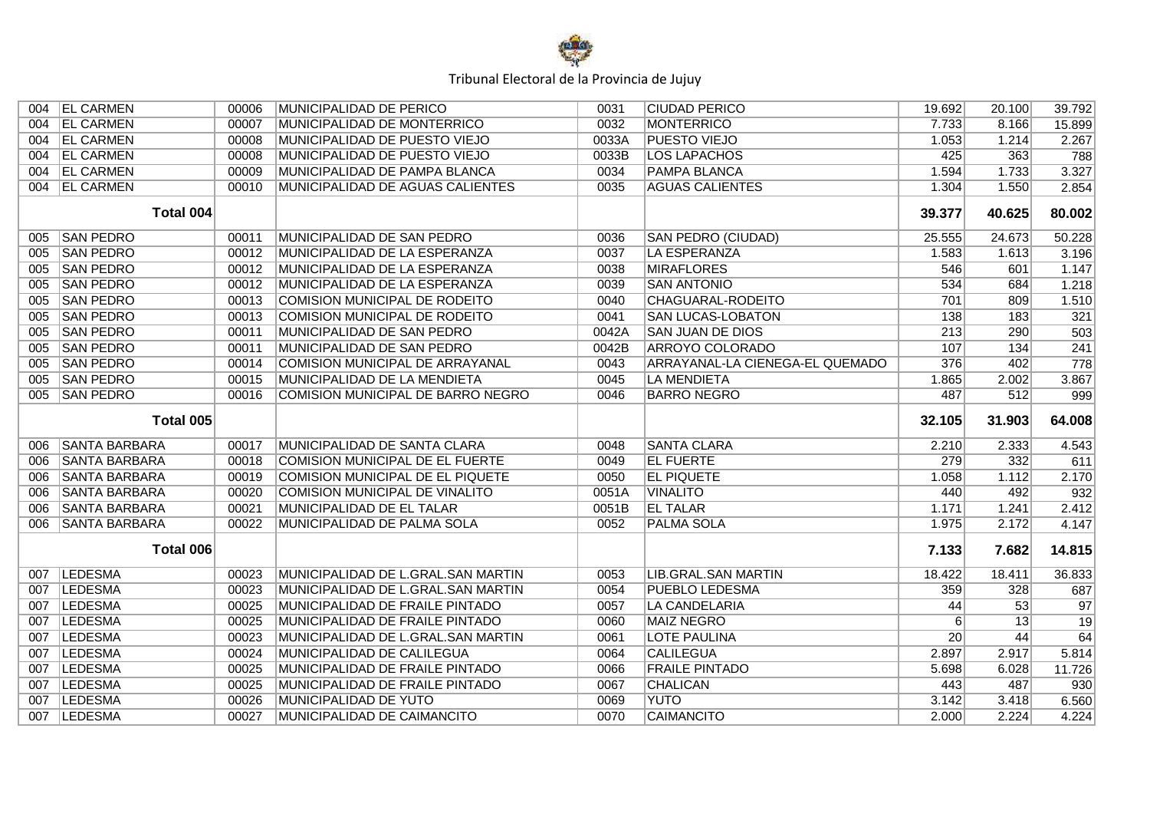

| 004 | <b>EL CARMEN</b>     | 00006 | <b>MUNICIPALIDAD DE PERICO</b>     | 0031         | <b>CIUDAD PERICO</b>            | 19.692           | 20.100 | 39.792          |
|-----|----------------------|-------|------------------------------------|--------------|---------------------------------|------------------|--------|-----------------|
| 004 | <b>EL CARMEN</b>     | 00007 | MUNICIPALIDAD DE MONTERRICO        | 0032         | <b>MONTERRICO</b>               | 7.733            | 8.166  | 15.899          |
| 004 | <b>EL CARMEN</b>     | 00008 | MUNICIPALIDAD DE PUESTO VIEJO      | 0033A        | <b>PUESTO VIEJO</b>             | 1.053            | 1.214  | 2.267           |
| 004 | <b>EL CARMEN</b>     | 00008 | MUNICIPALIDAD DE PUESTO VIEJO      | 0033B        | <b>LOS LAPACHOS</b>             | 425              | 363    | 788             |
| 004 | <b>EL CARMEN</b>     | 00009 | MUNICIPALIDAD DE PAMPA BLANCA      | 0034         | <b>PAMPA BLANCA</b>             | 1.594            | 1.733  | 3.327           |
| 004 | <b>EL CARMEN</b>     | 00010 | MUNICIPALIDAD DE AGUAS CALIENTES   | 0035         | <b>AGUAS CALIENTES</b>          | 1.304            | 1.550  | 2.854           |
|     | <b>Total 004</b>     |       |                                    |              |                                 | 39.377           | 40.625 | 80.002          |
| 005 | <b>SAN PEDRO</b>     | 00011 | MUNICIPALIDAD DE SAN PEDRO         | 0036         | <b>SAN PEDRO (CIUDAD)</b>       | 25.555           | 24.673 | 50.228          |
| 005 | <b>SAN PEDRO</b>     | 00012 | MUNICIPALIDAD DE LA ESPERANZA      | 0037         | <b>LA ESPERANZA</b>             | 1.583            | 1.613  | 3.196           |
| 005 | <b>SAN PEDRO</b>     | 00012 | MUNICIPALIDAD DE LA ESPERANZA      | 0038         | <b>MIRAFLORES</b>               | 546              | 601    | 1.147           |
| 005 | <b>SAN PEDRO</b>     | 00012 | MUNICIPALIDAD DE LA ESPERANZA      | 0039         | <b>SAN ANTONIO</b>              | 534              | 684    | 1.218           |
| 005 | <b>SAN PEDRO</b>     | 00013 | COMISION MUNICIPAL DE RODEITO      | 0040         | CHAGUARAL-RODEITO               | 701              | 809    | 1.510           |
| 005 | <b>SAN PEDRO</b>     | 00013 | COMISION MUNICIPAL DE RODEITO      | 0041         | <b>SAN LUCAS-LOBATON</b>        | 138              | 183    | 321             |
| 005 | <b>SAN PEDRO</b>     | 00011 | MUNICIPALIDAD DE SAN PEDRO         | 0042A        | <b>SAN JUAN DE DIOS</b>         | $\overline{213}$ | 290    | 503             |
| 005 | <b>SAN PEDRO</b>     | 00011 | MUNICIPALIDAD DE SAN PEDRO         | 0042B        | <b>ARROYO COLORADO</b>          | 107              | 134    | 241             |
| 005 | <b>SAN PEDRO</b>     | 00014 | COMISION MUNICIPAL DE ARRAYANAL    | 0043         | ARRAYANAL-LA CIENEGA-EL QUEMADO | 376              | 402    | 778             |
| 005 | <b>SAN PEDRO</b>     | 00015 | MUNICIPALIDAD DE LA MENDIETA       | 0045         | LA MENDIETA                     | 1.865            | 2.002  | 3.867           |
| 005 | <b>SAN PEDRO</b>     | 00016 | COMISION MUNICIPAL DE BARRO NEGRO  | 0046         | <b>BARRO NEGRO</b>              | 487              | 512    | 999             |
|     |                      |       |                                    |              |                                 |                  |        |                 |
|     | Total 005            |       |                                    |              |                                 | 32.105           | 31.903 | 64.008          |
| 006 | <b>SANTA BARBARA</b> | 00017 | MUNICIPALIDAD DE SANTA CLARA       | 0048         | <b>SANTA CLARA</b>              | 2.210            | 2.333  | 4.543           |
| 006 | <b>SANTA BARBARA</b> | 00018 | COMISION MUNICIPAL DE EL FUERTE    | 0049         | <b>EL FUERTE</b>                | 279              | 332    | 611             |
| 006 | <b>SANTA BARBARA</b> | 00019 | COMISION MUNICIPAL DE EL PIQUETE   | 0050         | <b>EL PIQUETE</b>               | 1.058            | 1.112  | 2.170           |
| 006 | <b>SANTA BARBARA</b> | 00020 | COMISION MUNICIPAL DE VINALITO     | 0051A        | <b>VINALITO</b>                 | 440              | 492    | 932             |
| 006 | <b>SANTA BARBARA</b> | 00021 | MUNICIPALIDAD DE EL TALAR          | 0051B        | <b>EL TALAR</b>                 | 1.171            | 1.241  | 2.412           |
| 006 | <b>SANTA BARBARA</b> | 00022 | MUNICIPALIDAD DE PALMA SOLA        | 0052         | <b>PALMA SOLA</b>               | 1.975            | 2.172  | 4.147           |
|     | Total 006            |       |                                    |              |                                 | 7.133            | 7.682  | 14.815          |
| 007 | <b>LEDESMA</b>       | 00023 | MUNICIPALIDAD DE L.GRAL.SAN MARTIN | 0053         | <b>LIB.GRAL.SAN MARTIN</b>      | 18.422           | 18.411 | 36.833          |
| 007 | <b>LEDESMA</b>       | 00023 | MUNICIPALIDAD DE L.GRAL.SAN MARTIN | 0054         | <b>PUEBLO LEDESMA</b>           | 359              | 328    | 687             |
| 007 | <b>LEDESMA</b>       | 00025 | MUNICIPALIDAD DE FRAILE PINTADO    | 0057         | <b>LA CANDELARIA</b>            | 44               | 53     | 97              |
| 007 | <b>LEDESMA</b>       | 00025 | MUNICIPALIDAD DE FRAILE PINTADO    | 0060         | <b>MAIZ NEGRO</b>               | 6                | 13     | $\overline{19}$ |
| 007 | <b>LEDESMA</b>       | 00023 | MUNICIPALIDAD DE L.GRAL.SAN MARTIN | 0061         | <b>LOTE PAULINA</b>             | 20               | 44     | 64              |
| 007 | <b>LEDESMA</b>       | 00024 | MUNICIPALIDAD DE CALILEGUA         | 0064         | <b>CALILEGUA</b>                | 2.897            | 2.917  | 5.814           |
| 007 | <b>LEDESMA</b>       | 00025 | MUNICIPALIDAD DE FRAILE PINTADO    | 0066         | <b>FRAILE PINTADO</b>           | 5.698            | 6.028  | 11.726          |
| 007 | <b>LEDESMA</b>       | 00025 | MUNICIPALIDAD DE FRAILE PINTADO    | 0067         | <b>CHALICAN</b>                 | 443              | 487    | 930             |
| 007 | <b>LEDESMA</b>       | 00026 | MUNICIPALIDAD DE YUTO              | 0069<br>0070 | <b>YUTO</b>                     | 3.142            | 3.418  | 6.560<br>4.224  |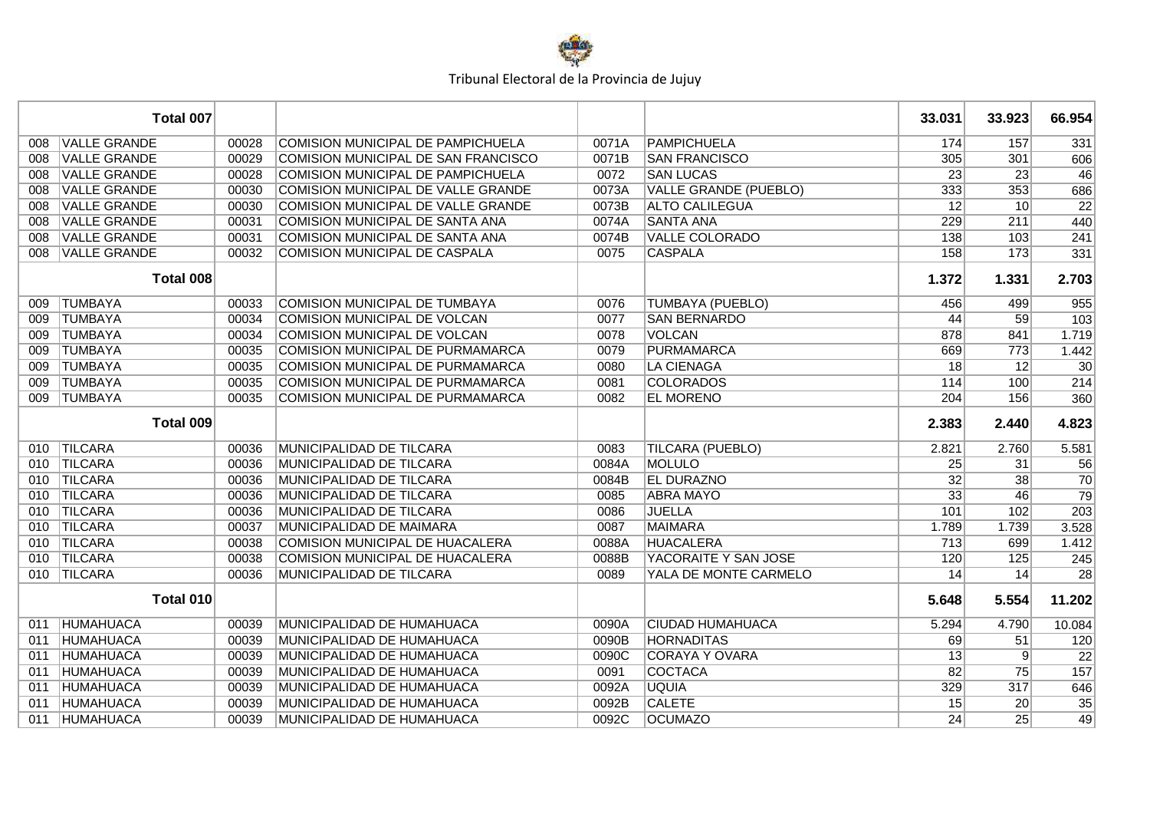

|     | Total 007           |       |                                         |       |                              | 33.031          | 33.923          | 66.954           |
|-----|---------------------|-------|-----------------------------------------|-------|------------------------------|-----------------|-----------------|------------------|
| 008 | <b>VALLE GRANDE</b> | 00028 | COMISION MUNICIPAL DE PAMPICHUELA       | 0071A | <b>PAMPICHUELA</b>           | 174             | 157             | 331              |
| 008 | <b>VALLE GRANDE</b> | 00029 | COMISION MUNICIPAL DE SAN FRANCISCO     | 0071B | <b>SAN FRANCISCO</b>         | 305             | 301             | 606              |
| 008 | <b>VALLE GRANDE</b> | 00028 | COMISION MUNICIPAL DE PAMPICHUELA       | 0072  | <b>SAN LUCAS</b>             | $\overline{23}$ | $\overline{23}$ | 46               |
| 008 | <b>VALLE GRANDE</b> | 00030 | COMISION MUNICIPAL DE VALLE GRANDE      | 0073A | <b>VALLE GRANDE (PUEBLO)</b> | 333             | 353             | 686              |
| 008 | <b>VALLE GRANDE</b> | 00030 | COMISION MUNICIPAL DE VALLE GRANDE      | 0073B | <b>ALTO CALILEGUA</b>        | $\overline{12}$ | 10              | $\overline{22}$  |
| 008 | <b>VALLE GRANDE</b> | 00031 | COMISION MUNICIPAL DE SANTA ANA         | 0074A | <b>SANTA ANA</b>             | 229             | 211             | 440              |
| 008 | <b>VALLE GRANDE</b> | 00031 | COMISION MUNICIPAL DE SANTA ANA         | 0074B | <b>VALLE COLORADO</b>        | 138             | 103             | 241              |
| 008 | <b>VALLE GRANDE</b> | 00032 | COMISION MUNICIPAL DE CASPALA           | 0075  | <b>CASPALA</b>               | 158             | 173             | 331              |
|     | Total 008           |       |                                         |       |                              | 1.372           | 1.331           | 2.703            |
| 009 | <b>TUMBAYA</b>      | 00033 | <b>COMISION MUNICIPAL DE TUMBAYA</b>    | 0076  | <b>TUMBAYA (PUEBLO)</b>      | 456             | 499             | 955              |
| 009 | <b>TUMBAYA</b>      | 00034 | COMISION MUNICIPAL DE VOLCAN            | 0077  | <b>SAN BERNARDO</b>          | 44              | 59              | 103              |
| 009 | <b>TUMBAYA</b>      | 00034 | COMISION MUNICIPAL DE VOLCAN            | 0078  | <b>VOLCAN</b>                | 878             | 841             | 1.719            |
| 009 | <b>TUMBAYA</b>      | 00035 | COMISION MUNICIPAL DE PURMAMARCA        | 0079  | <b>PURMAMARCA</b>            | 669             | 773             | 1.442            |
| 009 | <b>TUMBAYA</b>      | 00035 | COMISION MUNICIPAL DE PURMAMARCA        | 0080  | <b>LA CIENAGA</b>            | $\overline{18}$ | 12              | $\overline{30}$  |
| 009 | <b>TUMBAYA</b>      | 00035 | <b>COMISION MUNICIPAL DE PURMAMARCA</b> | 0081  | <b>COLORADOS</b>             | 114             | 100             | 214              |
| 009 | <b>TUMBAYA</b>      | 00035 | <b>COMISION MUNICIPAL DE PURMAMARCA</b> | 0082  | <b>EL MORENO</b>             | 204             | 156             | 360              |
|     | Total 009           |       |                                         |       |                              | 2.383           | 2.440           | 4.823            |
| 010 | <b>TILCARA</b>      | 00036 | MUNICIPALIDAD DE TILCARA                | 0083  | <b>TILCARA (PUEBLO)</b>      | 2.821           | 2.760           | 5.581            |
| 010 | <b>TILCARA</b>      | 00036 | MUNICIPALIDAD DE TILCARA                | 0084A | <b>MOLULO</b>                | 25              | 31              | 56               |
|     | 010 TILCARA         | 00036 | MUNICIPALIDAD DE TILCARA                | 0084B | <b>EL DURAZNO</b>            | 32              | 38              | $\overline{70}$  |
|     | 010 TILCARA         | 00036 | MUNICIPALIDAD DE TILCARA                | 0085  | <b>ABRA MAYO</b>             | 33              | 46              | $\overline{79}$  |
| 010 | <b>TILCARA</b>      | 00036 | MUNICIPALIDAD DE TILCARA                | 0086  | <b>JUELLA</b>                | 101             | 102             | $\overline{203}$ |
| 010 | <b>TILCARA</b>      | 00037 | MUNICIPALIDAD DE MAIMARA                | 0087  | <b>MAIMARA</b>               | 1.789           | 1.739           | 3.528            |
| 010 | <b>TILCARA</b>      | 00038 | COMISION MUNICIPAL DE HUACALERA         | 0088A | <b>HUACALERA</b>             | 713             | 699             | 1.412            |
| 010 | <b>TILCARA</b>      | 00038 | <b>COMISION MUNICIPAL DE HUACALERA</b>  | 0088B | YACORAITE Y SAN JOSE         | 120             | 125             | 245              |
| 010 | <b>TILCARA</b>      | 00036 | MUNICIPALIDAD DE TILCARA                | 0089  | YALA DE MONTE CARMELO        | 14              | 14              | 28               |
|     | Total 010           |       |                                         |       |                              | 5.648           | 5.554           | 11.202           |
| 011 | <b>HUMAHUACA</b>    | 00039 | MUNICIPALIDAD DE HUMAHUACA              | 0090A | <b>CIUDAD HUMAHUACA</b>      | 5.294           | 4.790           | 10.084           |
| 011 | <b>HUMAHUACA</b>    | 00039 | MUNICIPALIDAD DE HUMAHUACA              | 0090B | <b>HORNADITAS</b>            | 69              | 51              | 120              |
| 011 | <b>HUMAHUACA</b>    | 00039 | MUNICIPALIDAD DE HUMAHUACA              | 0090C | <b>CORAYA Y OVARA</b>        | 13              | 9               | $\overline{22}$  |
| 011 | <b>HUMAHUACA</b>    | 00039 | MUNICIPALIDAD DE HUMAHUACA              | 0091  | <b>COCTACA</b>               | 82              | $\overline{75}$ | 157              |
| 011 | <b>HUMAHUACA</b>    | 00039 | MUNICIPALIDAD DE HUMAHUACA              | 0092A | <b>UQUIA</b>                 | 329             | 317             | 646              |
| 011 | <b>HUMAHUACA</b>    | 00039 | MUNICIPALIDAD DE HUMAHUACA              | 0092B | <b>CALETE</b>                | 15              | 20              | 35               |
| 011 | <b>HUMAHUACA</b>    | 00039 | MUNICIPALIDAD DE HUMAHUACA              | 0092C | <b>OCUMAZO</b>               | 24              | 25              | $\overline{49}$  |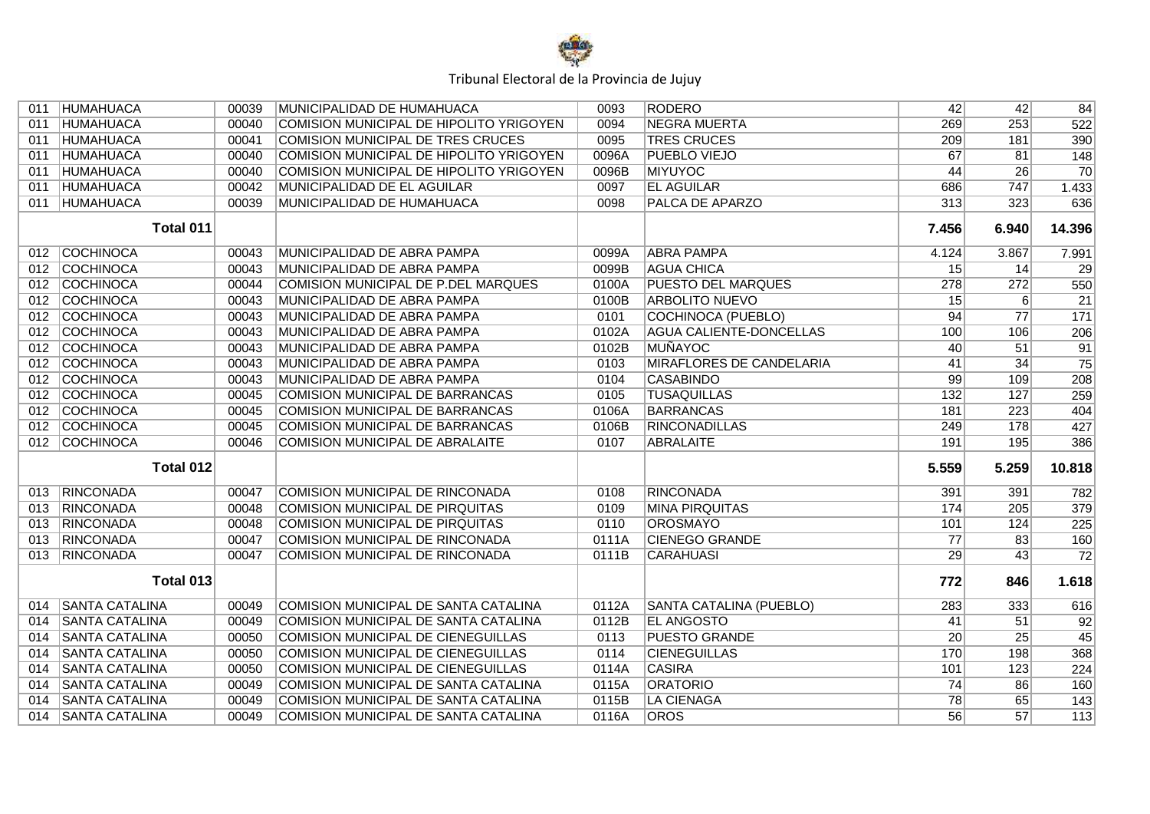

| 011 | HUMAHUACA             | 00039 | MUNICIPALIDAD DE HUMAHUACA                | 0093  | <b>RODERO</b>                  | 42              | 42              | 84               |
|-----|-----------------------|-------|-------------------------------------------|-------|--------------------------------|-----------------|-----------------|------------------|
| 011 | <b>HUMAHUACA</b>      | 00040 | COMISION MUNICIPAL DE HIPOLITO YRIGOYEN   | 0094  | <b>NEGRA MUERTA</b>            | 269             | 253             | 522              |
| 011 | <b>HUMAHUACA</b>      | 00041 | <b>COMISION MUNICIPAL DE TRES CRUCES</b>  | 0095  | <b>TRES CRUCES</b>             | 209             | 181             | 390              |
| 011 | <b>HUMAHUACA</b>      | 00040 | COMISION MUNICIPAL DE HIPOLITO YRIGOYEN   | 0096A | <b>PUEBLO VIEJO</b>            | 67              | 81              | 148              |
| 011 | <b>HUMAHUACA</b>      | 00040 | COMISION MUNICIPAL DE HIPOLITO YRIGOYEN   | 0096B | MIYUYOC                        | 44              | $\overline{26}$ | $\overline{70}$  |
| 011 | <b>HUMAHUACA</b>      | 00042 | MUNICIPALIDAD DE EL AGUILAR               | 0097  | <b>EL AGUILAR</b>              | 686             | 747             | 1.433            |
| 011 | <b>HUMAHUACA</b>      | 00039 | MUNICIPALIDAD DE HUMAHUACA                | 0098  | <b>PALCA DE APARZO</b>         | 313             | 323             | 636              |
|     | Total 011             |       |                                           |       |                                | 7.456           | 6.940           | 14.396           |
| 012 | COCHINOCA             | 00043 | MUNICIPALIDAD DE ABRA PAMPA               | 0099A | <b>ABRA PAMPA</b>              | 4.124           | 3.867           | 7.991            |
| 012 | <b>COCHINOCA</b>      | 00043 | MUNICIPALIDAD DE ABRA PAMPA               | 0099B | <b>AGUA CHICA</b>              | 15              | 14              | 29               |
| 012 | <b>COCHINOCA</b>      | 00044 | COMISION MUNICIPAL DE P.DEL MARQUES       | 0100A | <b>PUESTO DEL MARQUES</b>      | 278             | 272             | 550              |
| 012 | <b>COCHINOCA</b>      | 00043 | MUNICIPALIDAD DE ABRA PAMPA               | 0100B | <b>ARBOLITO NUEVO</b>          | 15              | $6 \mid$        | $\overline{21}$  |
| 012 | <b>COCHINOCA</b>      | 00043 | MUNICIPALIDAD DE ABRA PAMPA               | 0101  | COCHINOCA (PUEBLO)             | 94              | $\overline{77}$ | $\overline{171}$ |
| 012 | <b>COCHINOCA</b>      | 00043 | MUNICIPALIDAD DE ABRA PAMPA               | 0102A | <b>AGUA CALIENTE-DONCELLAS</b> | 100             | 106             | 206              |
| 012 | <b>COCHINOCA</b>      | 00043 | MUNICIPALIDAD DE ABRA PAMPA               | 0102B | MUÑAYOC                        | 40              | 51              | 91               |
| 012 | <b>COCHINOCA</b>      | 00043 | MUNICIPALIDAD DE ABRA PAMPA               | 0103  | MIRAFLORES DE CANDELARIA       | 41              | 34              | 75               |
| 012 | <b>COCHINOCA</b>      | 00043 | MUNICIPALIDAD DE ABRA PAMPA               | 0104  | <b>CASABINDO</b>               | 99              | 109             | 208              |
| 012 | <b>COCHINOCA</b>      | 00045 | <b>COMISION MUNICIPAL DE BARRANCAS</b>    | 0105  | <b>TUSAQUILLAS</b>             | 132             | 127             | 259              |
| 012 | <b>COCHINOCA</b>      | 00045 | <b>COMISION MUNICIPAL DE BARRANCAS</b>    | 0106A | <b>BARRANCAS</b>               | 181             | 223             | 404              |
| 012 | <b>COCHINOCA</b>      | 00045 | <b>COMISION MUNICIPAL DE BARRANCAS</b>    | 0106B | <b>RINCONADILLAS</b>           | 249             | 178             | 427              |
|     | 012 COCHINOCA         | 00046 | COMISION MUNICIPAL DE ABRALAITE           | 0107  | <b>ABRALAITE</b>               | 191             | 195             | 386              |
|     | Total 012             |       |                                           |       |                                | 5.559           | 5.259           | 10.818           |
| 013 | RINCONADA             | 00047 | COMISION MUNICIPAL DE RINCONADA           | 0108  | <b>RINCONADA</b>               | 391             | 391             | 782              |
| 013 | RINCONADA             | 00048 | COMISION MUNICIPAL DE PIRQUITAS           | 0109  | <b>MINA PIRQUITAS</b>          | 174             | 205             | 379              |
| 013 | RINCONADA             | 00048 | <b>COMISION MUNICIPAL DE PIRQUITAS</b>    | 0110  | <b>OROSMAYO</b>                | 101             | 124             | 225              |
| 013 | <b>RINCONADA</b>      | 00047 | <b>COMISION MUNICIPAL DE RINCONADA</b>    | 0111A | <b>CIENEGO GRANDE</b>          | $\overline{77}$ | 83              | 160              |
| 013 | RINCONADA             | 00047 | <b>COMISION MUNICIPAL DE RINCONADA</b>    | 0111B | <b>CARAHUASI</b>               | 29              | 43              | $\overline{72}$  |
|     | Total 013             |       |                                           |       |                                | 772             | 846             | 1.618            |
| 014 | <b>SANTA CATALINA</b> | 00049 | COMISION MUNICIPAL DE SANTA CATALINA      | 0112A | SANTA CATALINA (PUEBLO)        | 283             | 333             | 616              |
| 014 | <b>SANTA CATALINA</b> | 00049 | COMISION MUNICIPAL DE SANTA CATALINA      | 0112B | <b>EL ANGOSTO</b>              | 41              | 51              | 92               |
| 014 | <b>SANTA CATALINA</b> | 00050 | <b>COMISION MUNICIPAL DE CIENEGUILLAS</b> | 0113  | <b>PUESTO GRANDE</b>           | $\overline{20}$ | $\overline{25}$ | $\overline{45}$  |
| 014 | <b>SANTA CATALINA</b> | 00050 | <b>COMISION MUNICIPAL DE CIENEGUILLAS</b> | 0114  | <b>CIENEGUILLAS</b>            | 170             | 198             | 368              |
| 014 | <b>SANTA CATALINA</b> | 00050 | COMISION MUNICIPAL DE CIENEGUILLAS        | 0114A | <b>CASIRA</b>                  | 101             | 123             | 224              |
| 014 | <b>SANTA CATALINA</b> | 00049 | COMISION MUNICIPAL DE SANTA CATALINA      | 0115A | <b>ORATORIO</b>                | 74              | 86              | 160              |
| 014 | <b>SANTA CATALINA</b> | 00049 | COMISION MUNICIPAL DE SANTA CATALINA      | 0115B | <b>LA CIENAGA</b>              | 78              | 65              | 143              |
| 014 | <b>SANTA CATALINA</b> | 00049 | COMISION MUNICIPAL DE SANTA CATALINA      | 0116A | <b>OROS</b>                    | 56              | 57              | 113              |